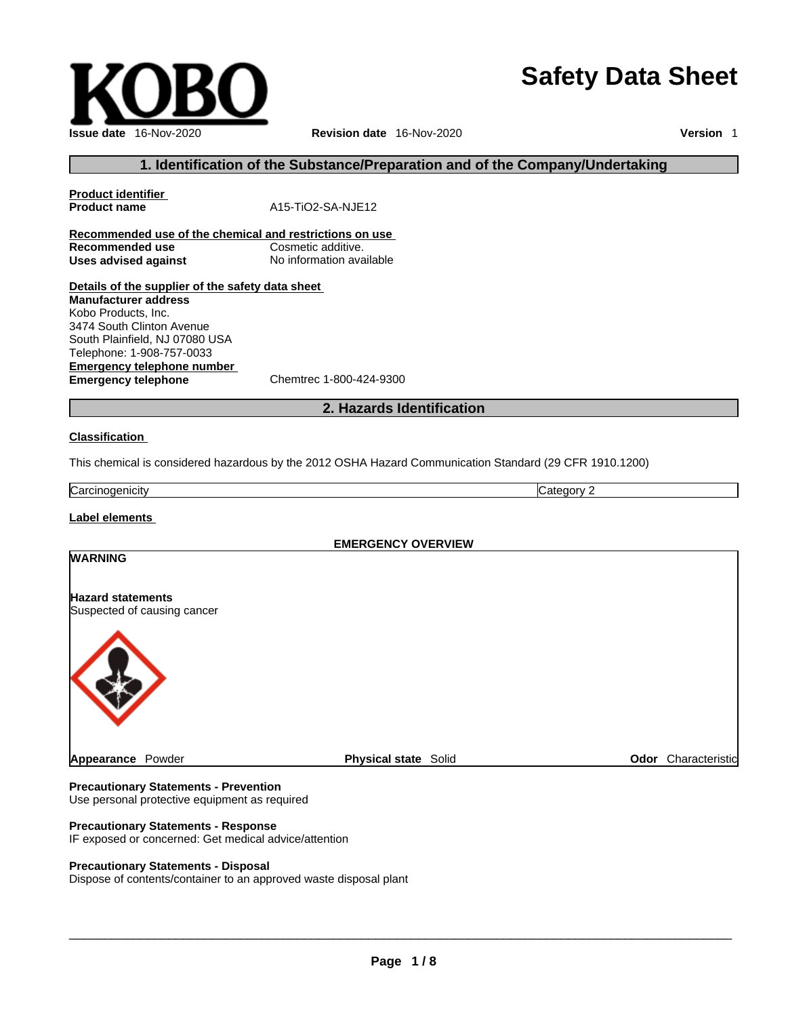## **Safety Data Sheet**



#### **1. Identification of the Substance/Preparation and of the Company/Undertaking**

**Product identifier Product name** A15-TiO2-SA-NJE12

**Recommended use of the chemical and restrictions on use Recommended use**<br> **Uses advised against**<br> **Uses advised against**<br> **No information available Uses** advised against

**Details of the supplier of the safety data sheet Emergency telephone number**<br> **Emergency telephone**<br>
Chemtrec 1-800-424-9300 **Emergency telephone Manufacturer address** Kobo Products, Inc. 3474 South Clinton Avenue South Plainfield, NJ 07080 USA Telephone: 1-908-757-0033

#### **2. Hazards Identification**

#### **Classification**

This chemical is considered hazardous by the 2012 OSHA Hazard Communication Standard (29 CFR 1910.1200)

Carcinogenicity Category 2

#### **Label elements**

# **EMERGENCY OVERVIEW WARNING Hazard statements** Suspected of causing cancer **Appearance Powder <b>Physical state** Solid **Physical state Solid Physical State Solid Odor** Characteristic

#### **Precautionary Statements - Prevention** Use personal protective equipment as required

**Precautionary Statements - Response**

IF exposed or concerned: Get medical advice/attention

#### **Precautionary Statements - Disposal**

Dispose of contents/container to an approved waste disposal plant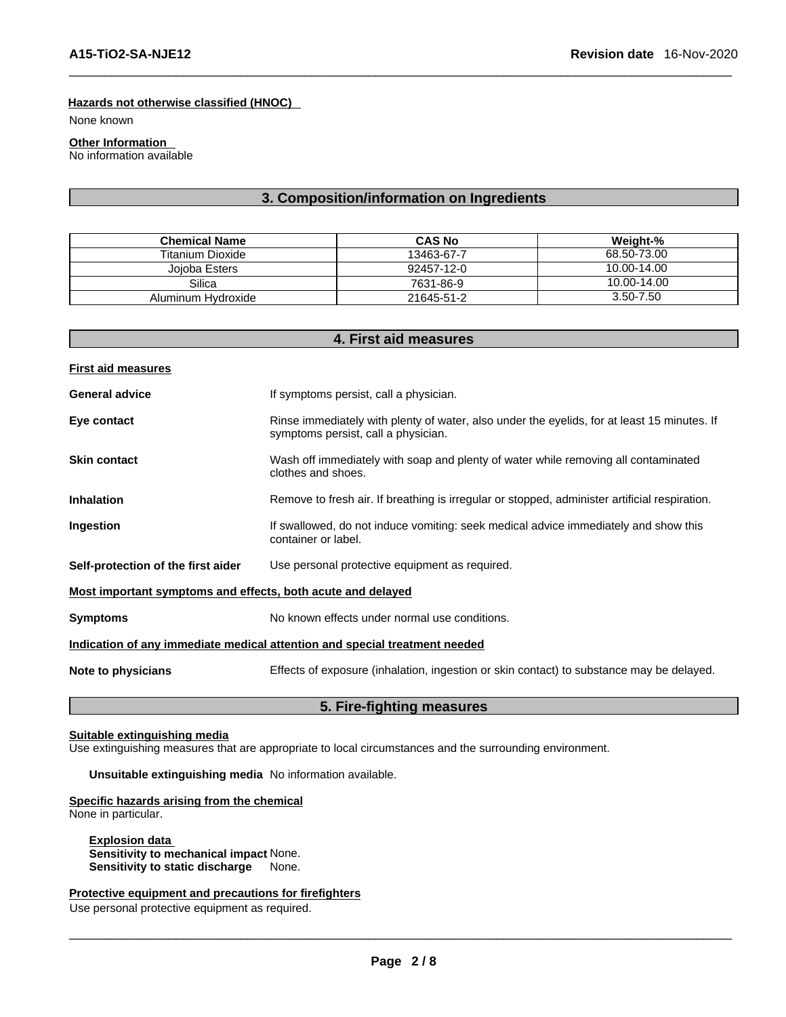#### **Hazards not otherwise classified (HNOC)**

None known

#### **Other Information**

No information available

#### **3. Composition/information on Ingredients**

| <b>Chemical Name</b> | <b>CAS No</b> | Weight-%    |
|----------------------|---------------|-------------|
| Titanium Dioxide     | 13463-67-7    | 68.50-73.00 |
| Joioba Esters        | 92457-12-0    | 10.00-14.00 |
| Silica               | 7631-86-9     | 10.00-14.00 |
| Aluminum Hydroxide   | 21645-51-2    | 3.50-7.50   |

**4. First aid measures** 

| <b>First aid measures</b>                                                  |                                                                                                                                    |  |
|----------------------------------------------------------------------------|------------------------------------------------------------------------------------------------------------------------------------|--|
| <b>General advice</b>                                                      | If symptoms persist, call a physician.                                                                                             |  |
| Eye contact                                                                | Rinse immediately with plenty of water, also under the eyelids, for at least 15 minutes. If<br>symptoms persist, call a physician. |  |
| <b>Skin contact</b>                                                        | Wash off immediately with soap and plenty of water while removing all contaminated<br>clothes and shoes.                           |  |
| <b>Inhalation</b>                                                          | Remove to fresh air. If breathing is irregular or stopped, administer artificial respiration.                                      |  |
| Ingestion                                                                  | If swallowed, do not induce vomiting: seek medical advice immediately and show this<br>container or label.                         |  |
| Self-protection of the first aider                                         | Use personal protective equipment as required.                                                                                     |  |
| Most important symptoms and effects, both acute and delayed                |                                                                                                                                    |  |
| <b>Symptoms</b>                                                            | No known effects under normal use conditions.                                                                                      |  |
| Indication of any immediate medical attention and special treatment needed |                                                                                                                                    |  |
| Note to physicians                                                         | Effects of exposure (inhalation, ingestion or skin contact) to substance may be delayed.                                           |  |
|                                                                            |                                                                                                                                    |  |

#### **5. Fire-fighting measures**

#### **Suitable extinguishing media**

Use extinguishing measures that are appropriate to local circumstances and the surrounding environment.

**Unsuitable extinguishing media** No information available.

#### **Specific hazards arising from the chemical**

None in particular.

**Explosion data Sensitivity to mechanical impact** None. **Sensitivity to static discharge** None.

**Protective equipment and precautions for firefighters** Use personal protective equipment as required.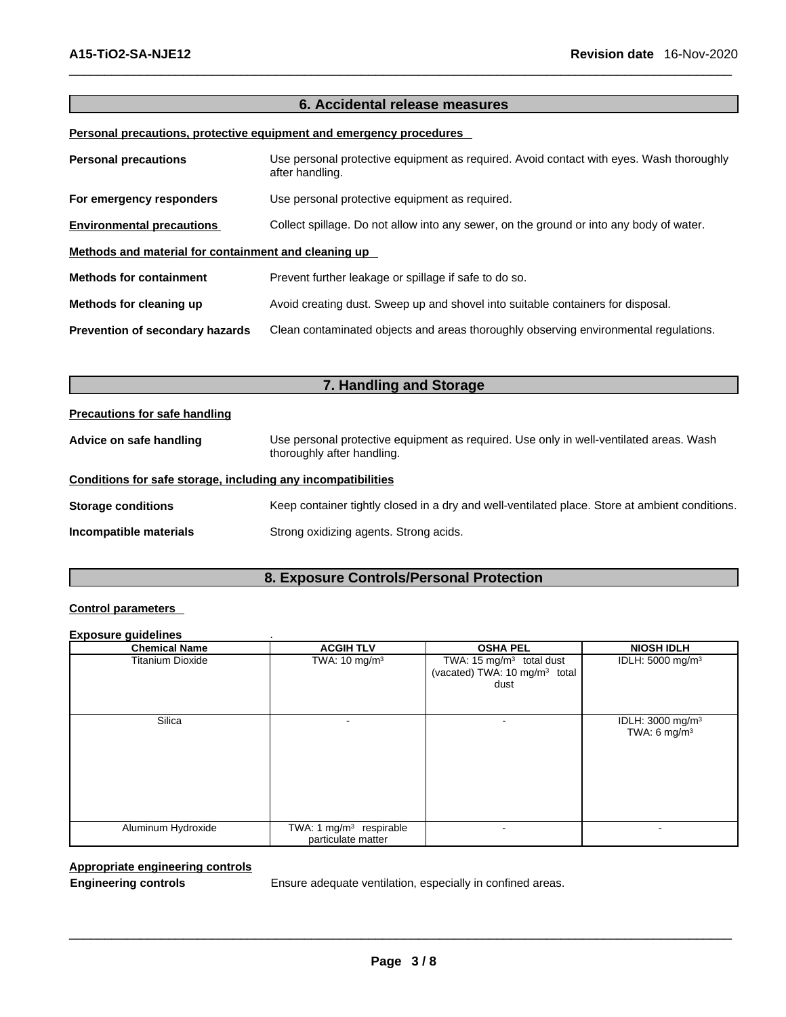#### **6. Accidental release measures**

#### **Personal precautions, protective equipment and emergency procedures**

| <b>Personal precautions</b>                          | Use personal protective equipment as required. Avoid contact with eyes. Wash thoroughly<br>after handling. |  |  |
|------------------------------------------------------|------------------------------------------------------------------------------------------------------------|--|--|
| For emergency responders                             | Use personal protective equipment as required.                                                             |  |  |
| <b>Environmental precautions</b>                     | Collect spillage. Do not allow into any sewer, on the ground or into any body of water.                    |  |  |
| Methods and material for containment and cleaning up |                                                                                                            |  |  |
| <b>Methods for containment</b>                       | Prevent further leakage or spillage if safe to do so.                                                      |  |  |
| Methods for cleaning up                              | Avoid creating dust. Sweep up and shovel into suitable containers for disposal.                            |  |  |
| Prevention of secondary hazards                      | Clean contaminated objects and areas thoroughly observing environmental regulations.                       |  |  |

| 7. Handling and Storage                                      |                                                                                                                      |  |
|--------------------------------------------------------------|----------------------------------------------------------------------------------------------------------------------|--|
| <b>Precautions for safe handling</b>                         |                                                                                                                      |  |
| Advice on safe handling                                      | Use personal protective equipment as required. Use only in well-ventilated areas. Wash<br>thoroughly after handling. |  |
| Conditions for safe storage, including any incompatibilities |                                                                                                                      |  |
| <b>Storage conditions</b>                                    | Keep container tightly closed in a dry and well-ventilated place. Store at ambient conditions.                       |  |
| Incompatible materials                                       | Strong oxidizing agents. Strong acids.                                                                               |  |

#### **8. Exposure Controls/Personal Protection**

#### **Control parameters**

#### **Exposure guidelines** .

| <b>Chemical Name</b>    | <b>ACGIH TLV</b>                                          | <b>OSHA PEL</b>                                                                           | <b>NIOSH IDLH</b>                                       |
|-------------------------|-----------------------------------------------------------|-------------------------------------------------------------------------------------------|---------------------------------------------------------|
| <b>Titanium Dioxide</b> | TWA: $10 \text{ mg/m}^3$                                  | TWA: 15 mg/m <sup>3</sup> total dust<br>(vacated) TWA: 10 mg/m <sup>3</sup> total<br>dust | IDLH: 5000 mg/m <sup>3</sup>                            |
| Silica                  |                                                           |                                                                                           | IDLH: 3000 mg/m <sup>3</sup><br>TWA: $6 \text{ mg/m}^3$ |
| Aluminum Hydroxide      | TWA: 1 mg/m <sup>3</sup> respirable<br>particulate matter | ٠                                                                                         | $\overline{\phantom{a}}$                                |

#### **Appropriate engineering controls**

**Engineering controls** Ensure adequate ventilation, especially in confined areas.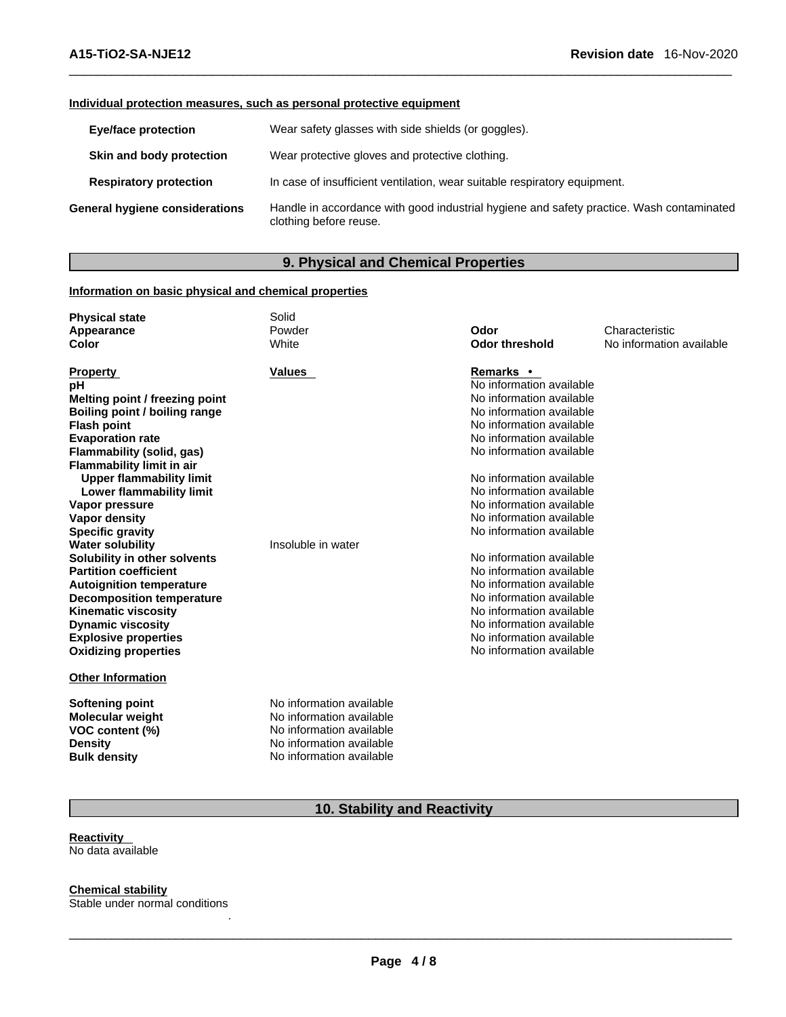#### **Individual protection measures, such as personal protective equipment**

| <b>Eye/face protection</b>     | Wear safety glasses with side shields (or goggles).                                                                |
|--------------------------------|--------------------------------------------------------------------------------------------------------------------|
| Skin and body protection       | Wear protective gloves and protective clothing.                                                                    |
| <b>Respiratory protection</b>  | In case of insufficient ventilation, wear suitable respiratory equipment.                                          |
| General hygiene considerations | Handle in accordance with good industrial hygiene and safety practice. Wash contaminated<br>clothing before reuse. |

#### **9. Physical and Chemical Properties**

#### **Information on basic physical and chemical properties**

| <b>Physical state</b>            | Solid                    |                          |                          |
|----------------------------------|--------------------------|--------------------------|--------------------------|
| Appearance                       | Powder                   | Odor                     | Characteristic           |
| Color                            | White                    | <b>Odor threshold</b>    | No information available |
| <b>Property</b>                  | <b>Values</b>            | <b>Remarks</b> •         |                          |
| рH                               |                          | No information available |                          |
| Melting point / freezing point   |                          | No information available |                          |
| Boiling point / boiling range    |                          | No information available |                          |
| <b>Flash point</b>               |                          | No information available |                          |
| <b>Evaporation rate</b>          |                          | No information available |                          |
| Flammability (solid, gas)        |                          | No information available |                          |
| <b>Flammability limit in air</b> |                          |                          |                          |
| <b>Upper flammability limit</b>  |                          | No information available |                          |
| Lower flammability limit         |                          | No information available |                          |
| Vapor pressure                   |                          | No information available |                          |
| <b>Vapor density</b>             |                          | No information available |                          |
| <b>Specific gravity</b>          |                          | No information available |                          |
| <b>Water solubility</b>          | Insoluble in water       |                          |                          |
| Solubility in other solvents     |                          | No information available |                          |
| <b>Partition coefficient</b>     |                          | No information available |                          |
| <b>Autoignition temperature</b>  |                          | No information available |                          |
| <b>Decomposition temperature</b> |                          | No information available |                          |
| <b>Kinematic viscosity</b>       |                          | No information available |                          |
| <b>Dynamic viscosity</b>         |                          | No information available |                          |
| <b>Explosive properties</b>      |                          | No information available |                          |
| <b>Oxidizing properties</b>      |                          | No information available |                          |
| <b>Other Information</b>         |                          |                          |                          |
| <b>Softening point</b>           | No information available |                          |                          |
| <b>Molecular weight</b>          | No information available |                          |                          |
| VOC content (%)                  | No information available |                          |                          |
| <b>Density</b>                   | No information available |                          |                          |
| <b>Bulk density</b>              | No information available |                          |                          |

#### **10. Stability and Reactivity**

.

**Reactivity**  No data available

**Chemical stability** Stable under normal conditions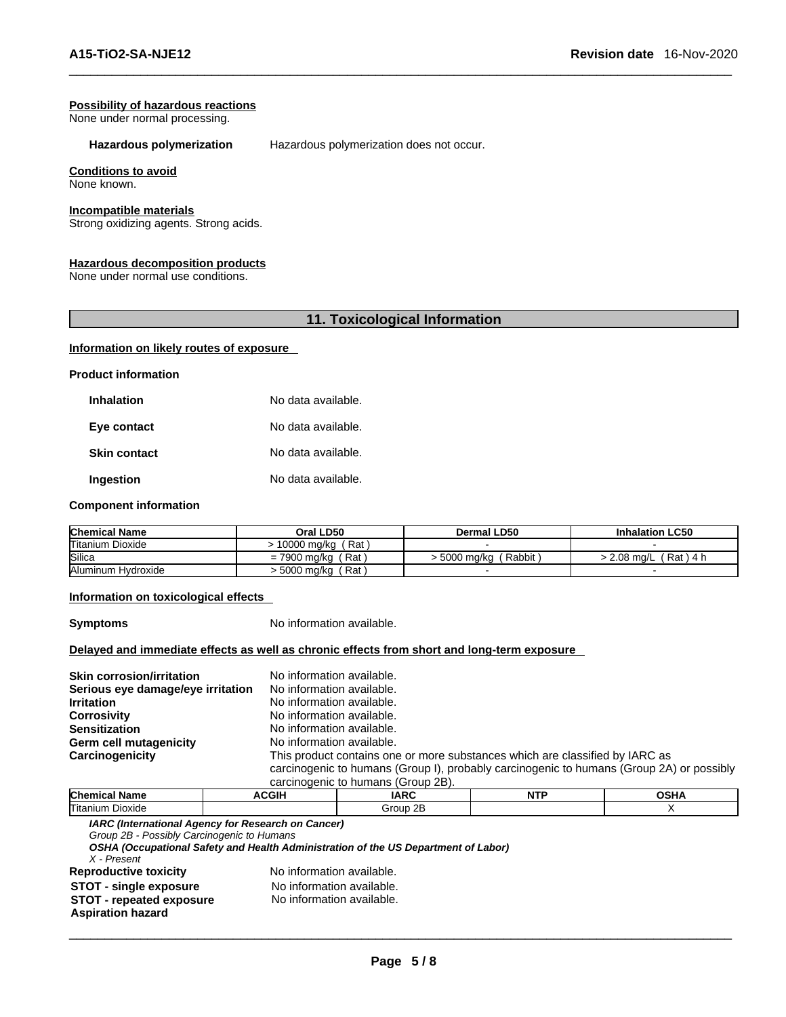#### **Possibility of hazardous reactions**

None under normal processing.

**Hazardous polymerization** Hazardous polymerization does not occur.

#### **Conditions to avoid**

None known.

#### **Incompatible materials**

Strong oxidizing agents. Strong acids.

#### **Hazardous decomposition products**

None under normal use conditions.

#### **11. Toxicological Information**

#### **Information on likely routes of exposure**

| <b>Product information</b> |  |
|----------------------------|--|
| <b>Inhalation</b>          |  |

**Eye contact** No data available.

**Skin contact** No data available.

**Ingestion No data available.** 

#### **Component information**

| <b>Chemical Name</b> | Oral LD50                 | Dermal LD50            | <b>Inhalation LC50</b>     |
|----------------------|---------------------------|------------------------|----------------------------|
| Titanium Dioxide     | ′ Rat<br>. 10000 ma/ka    |                        |                            |
| <b>Silica</b>        | $= 7900$ mg/kg (Rat)      | ' Rabbit<br>5000 ma/ka | $2.08$ ma/L<br>์ Rat ) 4 h |
| Aluminum Hydroxide   | ′ Rat .<br>⁄ 5000 mg/kg → |                        |                            |

#### **Information on toxicological effects**

**Symptoms** No information available.

No data available.

#### **Delayed and immediate effects as well as chronic effects from short and long-term exposure**

| <b>Skin corrosion/irritation</b>  | No information available.                                                                |
|-----------------------------------|------------------------------------------------------------------------------------------|
| Serious eye damage/eye irritation | No information available.                                                                |
| <b>Irritation</b>                 | No information available.                                                                |
| Corrosivity                       | No information available.                                                                |
| Sensitization                     | No information available.                                                                |
| Germ cell mutagenicity            | No information available.                                                                |
| <b>Carcinogenicity</b>            | This product contains one or more substances which are classified by IARC as             |
|                                   | carcinogenic to humans (Group I), probably carcinogenic to humans (Group 2A) or possibly |
|                                   | carcinogenic to humans (Group 2B).                                                       |
|                                   |                                                                                          |

| <b>Chemical</b><br>Name | CGIH                                                | <b>IARC</b> | <b>NTP</b> |  |
|-------------------------|-----------------------------------------------------|-------------|------------|--|
| Titaniun.<br>Dioxide    |                                                     | ΩD          |            |  |
|                         | IADO (International America: for Decease on Occase) |             |            |  |

*IARC (International Agency for Research on Cancer)*

*Group 2B - Possibly Carcinogenic to Humans* 

*OSHA (Occupational Safety and Health Administration of the US Department of Labor)*

*X - Present* 

**Reproductive toxicity** No information available.

**STOT** - **single exposure No information available.**<br>**STOT** - **repeated exposure No information available.** 

**STOT** - repeated exposure **Aspiration hazard**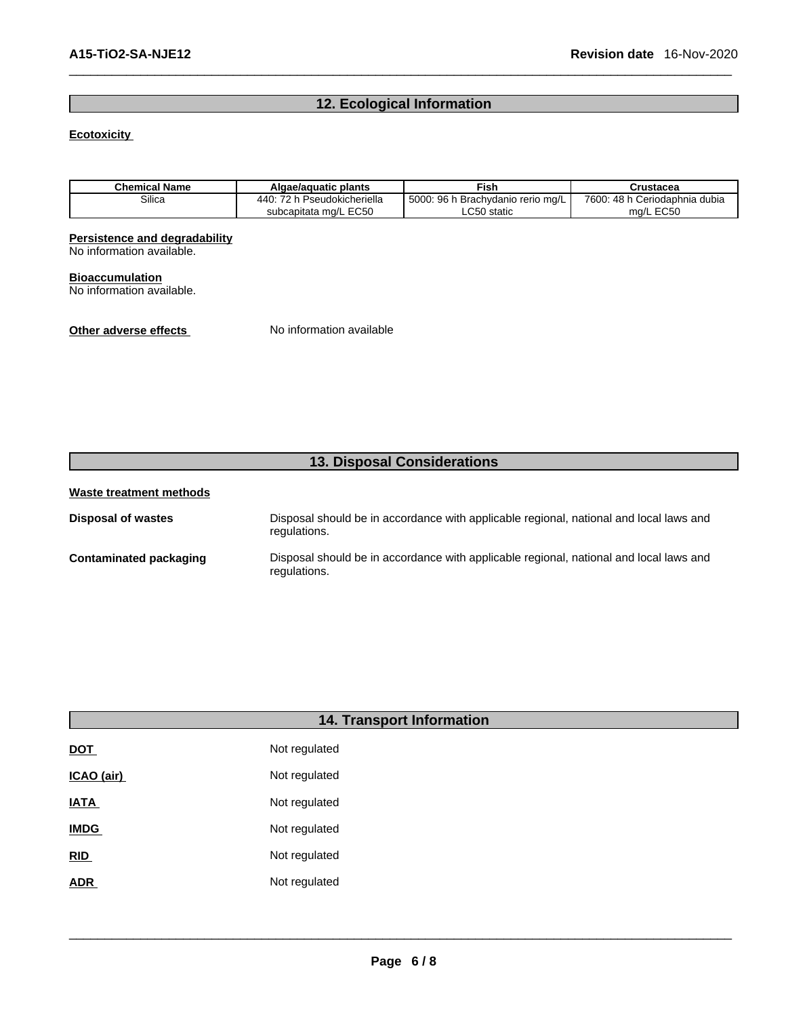#### **12. Ecological Information**

#### **Ecotoxicity**

| <b>Chemical Name</b> | Algae/aguatic plants            | Fish                                     | Crustacea                     |
|----------------------|---------------------------------|------------------------------------------|-------------------------------|
| Silica               | Pseudokicheriella<br>440<br>70L | 5000:<br>-96 h<br>Brachydanio rerio mg/L | 7600: 48 h Ceriodaphnia dubia |
|                      | subcapitata mg/L EC50           | ) static                                 | EC50<br>ma/L                  |

#### **Persistence and degradability**

No information available.

#### **Bioaccumulation**

No information available.

#### **Other adverse effects** No information available

### **13. Disposal Considerations**

| Waste treatment methods   |                                                                                                        |
|---------------------------|--------------------------------------------------------------------------------------------------------|
| <b>Disposal of wastes</b> | Disposal should be in accordance with applicable regional, national and local laws and<br>regulations. |
| Contaminated packaging    | Disposal should be in accordance with applicable regional, national and local laws and<br>regulations. |

|             | <b>14. Transport Information</b> |  |
|-------------|----------------------------------|--|
| <b>DOT</b>  | Not regulated                    |  |
| ICAO (air)  | Not regulated                    |  |
| <b>IATA</b> | Not regulated                    |  |
| <b>IMDG</b> | Not regulated                    |  |
| RID         | Not regulated                    |  |
| <b>ADR</b>  | Not regulated                    |  |
|             |                                  |  |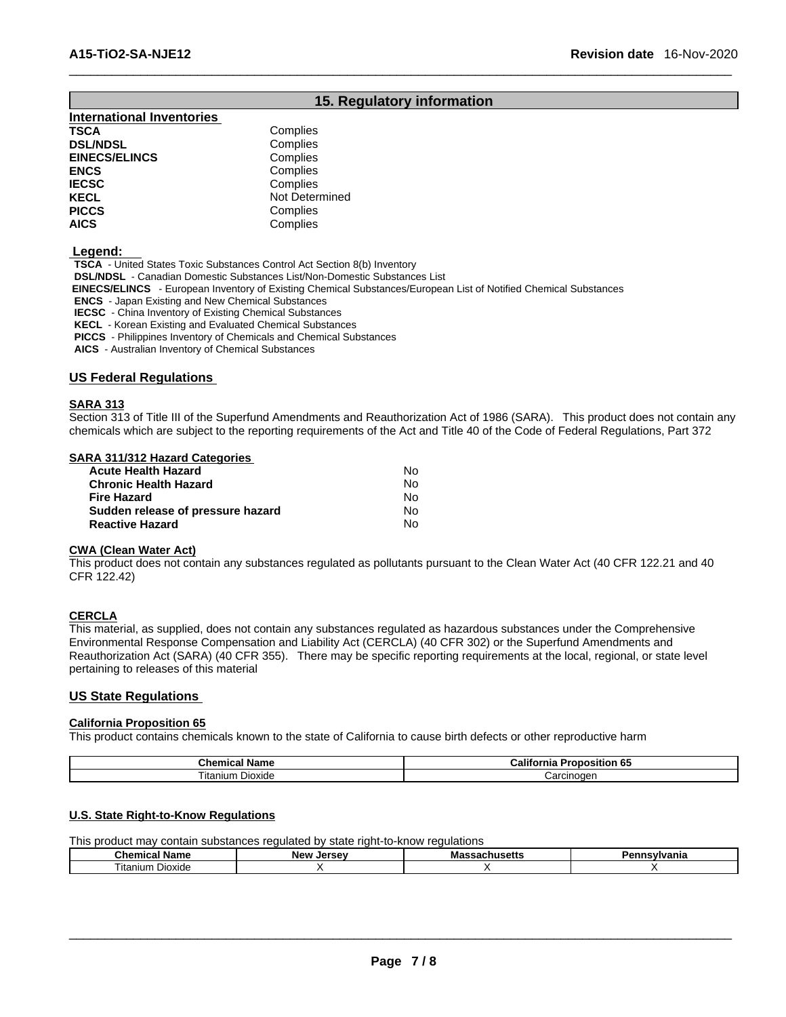#### **15. Regulatory information**

| <b>International Inventories</b> |                |
|----------------------------------|----------------|
| TSCA                             | Complies       |
| <b>DSL/NDSL</b>                  | Complies       |
| <b>EINECS/ELINCS</b>             | Complies       |
| ENCS                             | Complies       |
| <b>IECSC</b>                     | Complies       |
| KECL                             | Not Determined |
| PICCS                            | Complies       |
| AICS                             | Complies       |

#### **Legend:**

**TSCA** - United States Toxic Substances Control Act Section 8(b) Inventory

**DSL/NDSL** - Canadian Domestic Substances List/Non-Domestic Substances List

 **EINECS/ELINCS** - European Inventory of Existing Chemical Substances/European List of Notified Chemical Substances

**ENCS** - Japan Existing and New Chemical Substances

**IECSC** - China Inventory of Existing Chemical Substances

**KECL** - Korean Existing and Evaluated Chemical Substances

**PICCS** - Philippines Inventory of Chemicals and Chemical Substances

**AICS** - Australian Inventory of Chemical Substances

#### **US Federal Regulations**

#### **SARA 313**

Section 313 of Title III of the Superfund Amendments and Reauthorization Act of 1986 (SARA). This product does not contain any chemicals which are subject to the reporting requirements of the Act and Title 40 of the Code of Federal Regulations, Part 372

#### **SARA 311/312 Hazard Categories**

| <b>Acute Health Hazard</b>        | No  |
|-----------------------------------|-----|
| <b>Chronic Health Hazard</b>      | No  |
| <b>Fire Hazard</b>                | N٥  |
| Sudden release of pressure hazard | No. |
| <b>Reactive Hazard</b>            | No  |

#### **CWA (Clean WaterAct)**

This product does not contain any substances regulated as pollutants pursuant to the Clean Water Act (40 CFR 122.21 and 40 CFR 122.42)

#### **CERCLA**

This material, as supplied, does not contain any substances regulated as hazardous substances under the Comprehensive Environmental Response Compensation and Liability Act (CERCLA) (40 CFR 302) or the Superfund Amendments and Reauthorization Act (SARA) (40 CFR 355). There may be specific reporting requirements at the local, regional, or state level pertaining to releases of this material

#### **US State Regulations**

#### **California Proposition 65**

This product contains chemicals known to the state of California to cause birth defects or other reproductive harm

| Chemical<br>-----<br>⊪Name | - -<br><br>osition 65<br>"alitor<br><br>oo<br>ша |
|----------------------------|--------------------------------------------------|
| ļ<br>, itaniur<br>Dioxide  | Carcinoɑen                                       |

#### **U.S. State Right-to-Know Regulations**

This product may contain substances regulated by state right-to-know regulations

| Chemio<br>- - - -<br><b>Nallic</b> | <b>New</b><br>Jersev | <br>мағ<br>……au∏us <del>c</del> us | .<br>anıa<br>. . |
|------------------------------------|----------------------|------------------------------------|------------------|
| --<br>⊥itanıum<br>Dioxide          |                      |                                    |                  |